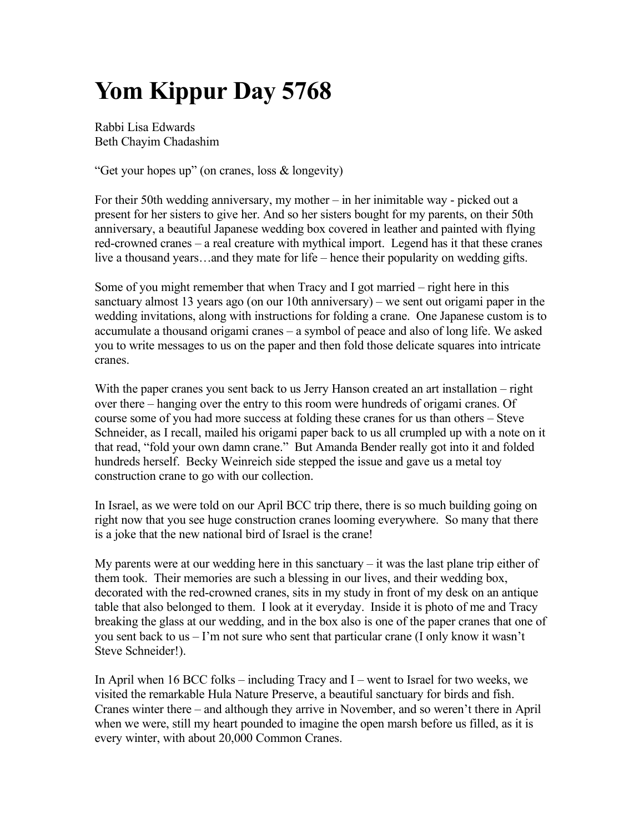## **Yom Kippur Day 5768**

Rabbi Lisa Edwards Beth Chayim Chadashim

"Get your hopes up" (on cranes, loss & longevity)

For their 50th wedding anniversary, my mother – in her inimitable way - picked out a present for her sisters to give her. And so her sisters bought for my parents, on their 50th anniversary, a beautiful Japanese wedding box covered in leather and painted with flying red-crowned cranes – a real creature with mythical import. Legend has it that these cranes live a thousand years…and they mate for life – hence their popularity on wedding gifts.

Some of you might remember that when Tracy and I got married – right here in this sanctuary almost 13 years ago (on our 10th anniversary) – we sent out origami paper in the wedding invitations, along with instructions for folding a crane. One Japanese custom is to accumulate a thousand origami cranes – a symbol of peace and also of long life. We asked you to write messages to us on the paper and then fold those delicate squares into intricate cranes.

With the paper cranes you sent back to us Jerry Hanson created an art installation – right over there – hanging over the entry to this room were hundreds of origami cranes. Of course some of you had more success at folding these cranes for us than others – Steve Schneider, as I recall, mailed his origami paper back to us all crumpled up with a note on it that read, "fold your own damn crane." But Amanda Bender really got into it and folded hundreds herself. Becky Weinreich side stepped the issue and gave us a metal toy construction crane to go with our collection.

In Israel, as we were told on our April BCC trip there, there is so much building going on right now that you see huge construction cranes looming everywhere. So many that there is a joke that the new national bird of Israel is the crane!

My parents were at our wedding here in this sanctuary  $-$  it was the last plane trip either of them took. Their memories are such a blessing in our lives, and their wedding box, decorated with the red-crowned cranes, sits in my study in front of my desk on an antique table that also belonged to them. I look at it everyday. Inside it is photo of me and Tracy breaking the glass at our wedding, and in the box also is one of the paper cranes that one of you sent back to us – I'm not sure who sent that particular crane (I only know it wasn't Steve Schneider!).

In April when 16 BCC folks – including Tracy and I – went to Israel for two weeks, we visited the remarkable Hula Nature Preserve, a beautiful sanctuary for birds and fish. Cranes winter there – and although they arrive in November, and so weren't there in April when we were, still my heart pounded to imagine the open marsh before us filled, as it is every winter, with about 20,000 Common Cranes.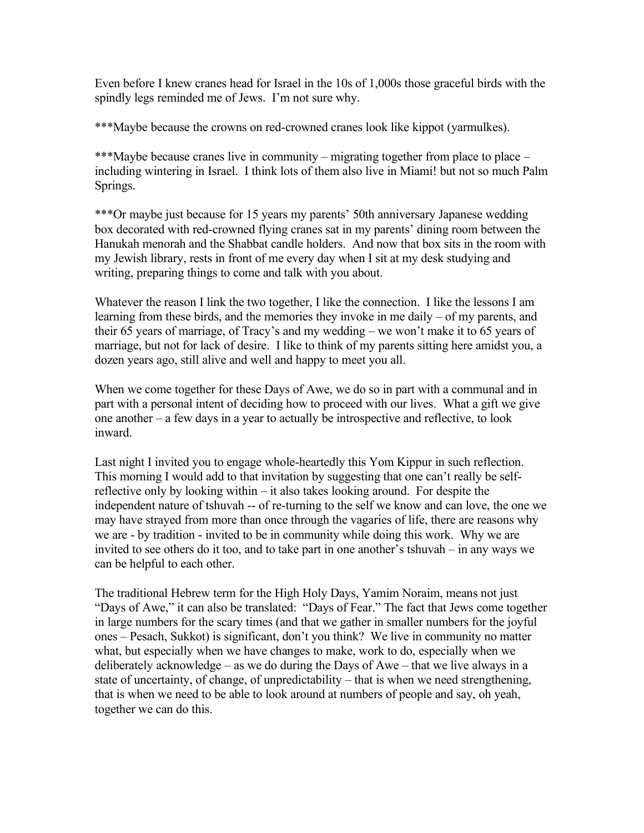Even before I knew cranes head for Israel in the 10s of 1,000s those graceful birds with the spindly legs reminded me of Jews. I'm not sure why.

\*\*\*Maybe because the crowns on red-crowned cranes look like kippot (yarmulkes).

\*\*\*Maybe because cranes live in community – migrating together from place to place – including wintering in Israel. I think lots of them also live in Miami! but not so much Palm Springs.

\*\*\*Or maybe just because for 15 years my parents' 50th anniversary Japanese wedding box decorated with red-crowned flying cranes sat in my parents' dining room between the Hanukah menorah and the Shabbat candle holders. And now that box sits in the room with my Jewish library, rests in front of me every day when I sit at my desk studying and writing, preparing things to come and talk with you about.

Whatever the reason I link the two together, I like the connection. I like the lessons I am learning from these birds, and the memories they invoke in me daily – of my parents, and their 65 years of marriage, of Tracy's and my wedding – we won't make it to 65 years of marriage, but not for lack of desire. I like to think of my parents sitting here amidst you, a dozen years ago, still alive and well and happy to meet you all.

When we come together for these Days of Awe, we do so in part with a communal and in part with a personal intent of deciding how to proceed with our lives. What a gift we give one another – a few days in a year to actually be introspective and reflective, to look inward.

Last night I invited you to engage whole-heartedly this Yom Kippur in such reflection. This morning I would add to that invitation by suggesting that one can't really be selfreflective only by looking within – it also takes looking around. For despite the independent nature of tshuvah -- of re-turning to the self we know and can love, the one we may have strayed from more than once through the vagaries of life, there are reasons why we are - by tradition - invited to be in community while doing this work. Why we are invited to see others do it too, and to take part in one another's tshuvah – in any ways we can be helpful to each other.

The traditional Hebrew term for the High Holy Days, Yamim Noraim, means not just "Days of Awe," it can also be translated: "Days of Fear." The fact that Jews come together in large numbers for the scary times (and that we gather in smaller numbers for the joyful ones – Pesach, Sukkot) is significant, don't you think? We live in community no matter what, but especially when we have changes to make, work to do, especially when we deliberately acknowledge – as we do during the Days of Awe – that we live always in a state of uncertainty, of change, of unpredictability – that is when we need strengthening, that is when we need to be able to look around at numbers of people and say, oh yeah, together we can do this.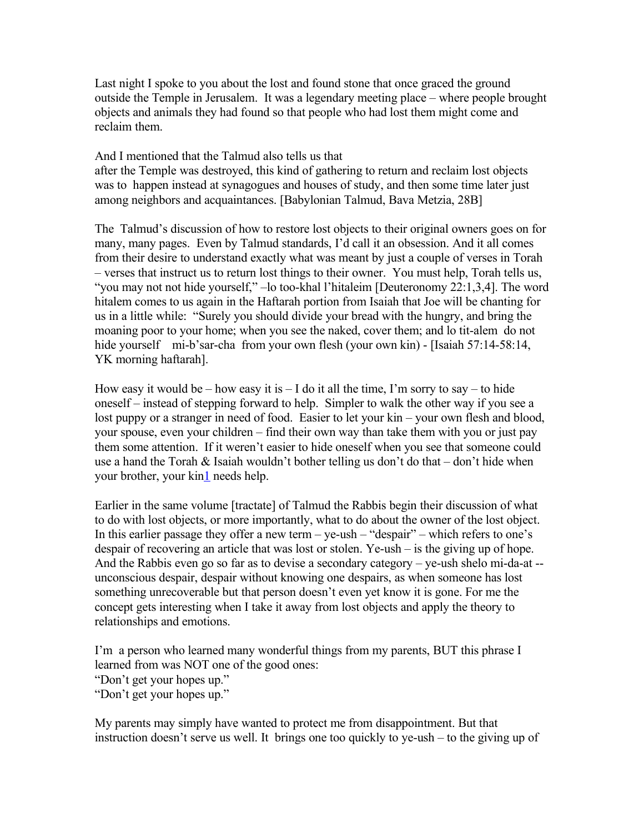Last night I spoke to you about the lost and found stone that once graced the ground outside the Temple in Jerusalem. It was a legendary meeting place – where people brought objects and animals they had found so that people who had lost them might come and reclaim them.

And I mentioned that the Talmud also tells us that

after the Temple was destroyed, this kind of gathering to return and reclaim lost objects was to happen instead at synagogues and houses of study, and then some time later just among neighbors and acquaintances. [Babylonian Talmud, Bava Metzia, 28B]

The Talmud's discussion of how to restore lost objects to their original owners goes on for many, many pages. Even by Talmud standards, I'd call it an obsession. And it all comes from their desire to understand exactly what was meant by just a couple of verses in Torah – verses that instruct us to return lost things to their owner. You must help, Torah tells us, "you may not not hide yourself," –lo too-khal l'hitaleim [Deuteronomy 22:1,3,4]. The word hitalem comes to us again in the Haftarah portion from Isaiah that Joe will be chanting for us in a little while: "Surely you should divide your bread with the hungry, and bring the moaning poor to your home; when you see the naked, cover them; and lo tit-alem do not hide yourself mi-b'sar-cha from your own flesh (your own kin) - [Isaiah 57:14-58:14, YK morning haftarah].

How easy it would be – how easy it is – I do it all the time, I'm sorry to say – to hide oneself – instead of stepping forward to help. Simpler to walk the other way if you see a lost puppy or a stranger in need of food. Easier to let your kin – your own flesh and blood, your spouse, even your children – find their own way than take them with you or just pay them some attention. If it weren't easier to hide oneself when you see that someone could use a hand the Torah & Isaiah wouldn't bother telling us don't do that – don't hide when your brother, your ki[n1](http://www.bcc-la.org/drashot/5768YK.html#_ftn1) needs help.

Earlier in the same volume [tractate] of Talmud the Rabbis begin their discussion of what to do with lost objects, or more importantly, what to do about the owner of the lost object. In this earlier passage they offer a new term  $-$  ye-ush  $-$  "despair" – which refers to one's despair of recovering an article that was lost or stolen. Ye-ush – is the giving up of hope. And the Rabbis even go so far as to devise a secondary category – ye-ush shelo mi-da-at - unconscious despair, despair without knowing one despairs, as when someone has lost something unrecoverable but that person doesn't even yet know it is gone. For me the concept gets interesting when I take it away from lost objects and apply the theory to relationships and emotions.

I'm a person who learned many wonderful things from my parents, BUT this phrase I learned from was NOT one of the good ones: "Don't get your hopes up." "Don't get your hopes up."

My parents may simply have wanted to protect me from disappointment. But that instruction doesn't serve us well. It brings one too quickly to ye-ush – to the giving up of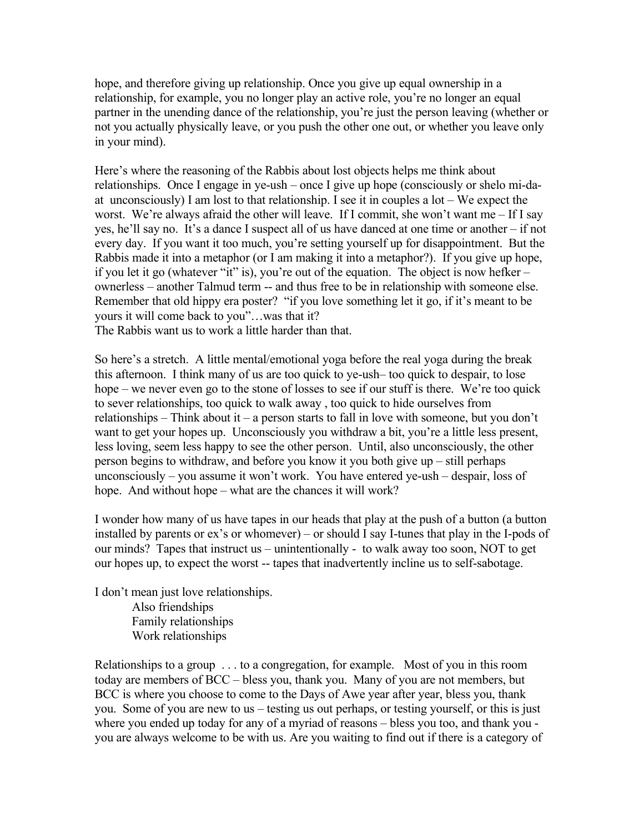hope, and therefore giving up relationship. Once you give up equal ownership in a relationship, for example, you no longer play an active role, you're no longer an equal partner in the unending dance of the relationship, you're just the person leaving (whether or not you actually physically leave, or you push the other one out, or whether you leave only in your mind).

Here's where the reasoning of the Rabbis about lost objects helps me think about relationships. Once I engage in ye-ush – once I give up hope (consciously or shelo mi-daat unconsciously) I am lost to that relationship. I see it in couples a lot – We expect the worst. We're always afraid the other will leave. If I commit, she won't want me – If I say yes, he'll say no. It's a dance I suspect all of us have danced at one time or another – if not every day. If you want it too much, you're setting yourself up for disappointment. But the Rabbis made it into a metaphor (or I am making it into a metaphor?). If you give up hope, if you let it go (whatever "it" is), you're out of the equation. The object is now hefker – ownerless – another Talmud term -- and thus free to be in relationship with someone else. Remember that old hippy era poster? "if you love something let it go, if it's meant to be yours it will come back to you"…was that it?

The Rabbis want us to work a little harder than that.

So here's a stretch. A little mental/emotional yoga before the real yoga during the break this afternoon. I think many of us are too quick to ye-ush– too quick to despair, to lose hope – we never even go to the stone of losses to see if our stuff is there. We're too quick to sever relationships, too quick to walk away , too quick to hide ourselves from relationships – Think about it – a person starts to fall in love with someone, but you don't want to get your hopes up. Unconsciously you withdraw a bit, you're a little less present, less loving, seem less happy to see the other person. Until, also unconsciously, the other person begins to withdraw, and before you know it you both give up – still perhaps unconsciously – you assume it won't work. You have entered ye-ush – despair, loss of hope. And without hope – what are the chances it will work?

I wonder how many of us have tapes in our heads that play at the push of a button (a button installed by parents or ex's or whomever) – or should I say I-tunes that play in the I-pods of our minds? Tapes that instruct us – unintentionally - to walk away too soon, NOT to get our hopes up, to expect the worst -- tapes that inadvertently incline us to self-sabotage.

I don't mean just love relationships. Also friendships Family relationships Work relationships

Relationships to a group . . . to a congregation, for example. Most of you in this room today are members of BCC – bless you, thank you. Many of you are not members, but BCC is where you choose to come to the Days of Awe year after year, bless you, thank you. Some of you are new to us – testing us out perhaps, or testing yourself, or this is just where you ended up today for any of a myriad of reasons – bless you too, and thank you you are always welcome to be with us. Are you waiting to find out if there is a category of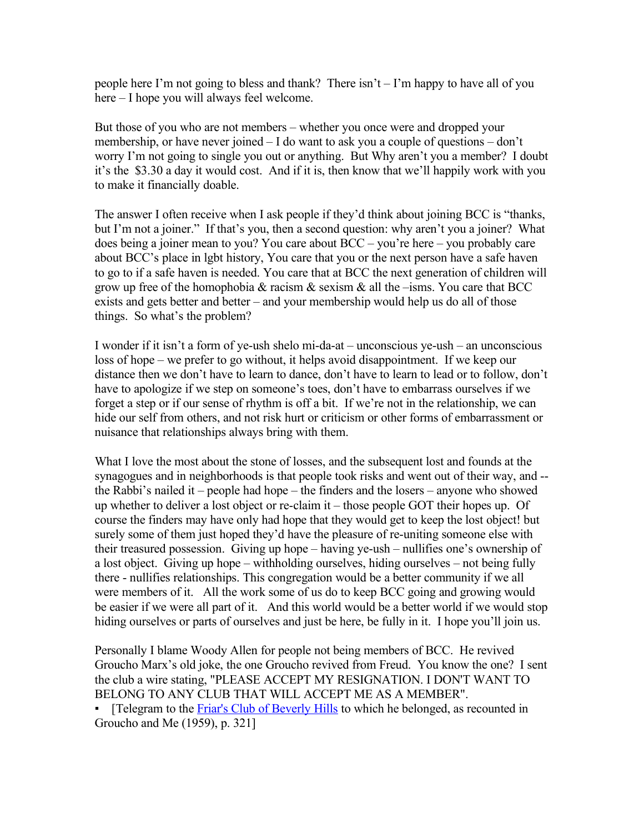people here I'm not going to bless and thank? There isn't – I'm happy to have all of you here – I hope you will always feel welcome.

But those of you who are not members – whether you once were and dropped your membership, or have never joined – I do want to ask you a couple of questions – don't worry I'm not going to single you out or anything. But Why aren't you a member? I doubt it's the \$3.30 a day it would cost. And if it is, then know that we'll happily work with you to make it financially doable.

The answer I often receive when I ask people if they'd think about joining BCC is "thanks, but I'm not a joiner." If that's you, then a second question: why aren't you a joiner? What does being a joiner mean to you? You care about BCC – you're here – you probably care about BCC's place in lgbt history, You care that you or the next person have a safe haven to go to if a safe haven is needed. You care that at BCC the next generation of children will grow up free of the homophobia  $\&$  racism  $\&$  sexism  $\&$  all the –isms. You care that BCC exists and gets better and better – and your membership would help us do all of those things. So what's the problem?

I wonder if it isn't a form of ye-ush shelo mi-da-at – unconscious ye-ush – an unconscious loss of hope – we prefer to go without, it helps avoid disappointment. If we keep our distance then we don't have to learn to dance, don't have to learn to lead or to follow, don't have to apologize if we step on someone's toes, don't have to embarrass ourselves if we forget a step or if our sense of rhythm is off a bit. If we're not in the relationship, we can hide our self from others, and not risk hurt or criticism or other forms of embarrassment or nuisance that relationships always bring with them.

What I love the most about the stone of losses, and the subsequent lost and founds at the synagogues and in neighborhoods is that people took risks and went out of their way, and - the Rabbi's nailed it – people had hope – the finders and the losers – anyone who showed up whether to deliver a lost object or re-claim it – those people GOT their hopes up. Of course the finders may have only had hope that they would get to keep the lost object! but surely some of them just hoped they'd have the pleasure of re-uniting someone else with their treasured possession. Giving up hope – having ye-ush – nullifies one's ownership of a lost object. Giving up hope – withholding ourselves, hiding ourselves – not being fully there - nullifies relationships. This congregation would be a better community if we all were members of it. All the work some of us do to keep BCC going and growing would be easier if we were all part of it. And this world would be a better world if we would stop hiding ourselves or parts of ourselves and just be here, be fully in it. I hope you'll join us.

Personally I blame Woody Allen for people not being members of BCC. He revived Groucho Marx's old joke, the one Groucho revived from Freud. You know the one? I sent the club a wire stating, "PLEASE ACCEPT MY RESIGNATION. I DON'T WANT TO BELONG TO ANY CLUB THAT WILL ACCEPT ME AS A MEMBER". • [Telegram to the [Friar's Club of Beverly Hills](http://en.wikipedia.org/wiki/Friar) to which he belonged, as recounted in Groucho and Me (1959), p. 321]